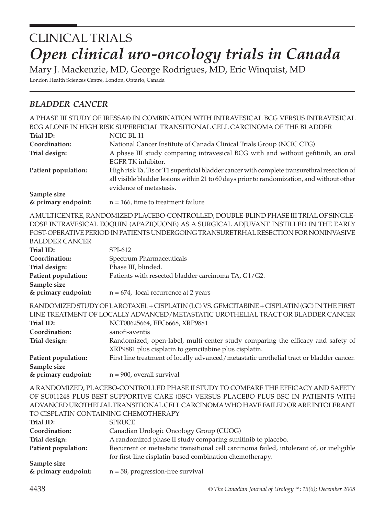# CLINICAL TRIALS *Open clinical uro-oncology trials in Canada*

Mary J. Mackenzie, MD, George Rodrigues, MD, Eric Winquist, MD

London Health Sciences Centre, London, Ontario, Canada

## *BLADDER CANCER*

|                                    | A PHASE III STUDY OF IRESSA® IN COMBINATION WITH INTRAVESICAL BCG VERSUS INTRAVESICAL        |
|------------------------------------|----------------------------------------------------------------------------------------------|
|                                    | BCG ALONE IN HIGH RISK SUPERFICIAL TRANSITIONAL CELL CARCINOMA OF THE BLADDER                |
| Trial ID:                          | NCIC BL.11                                                                                   |
| Coordination:                      | National Cancer Institute of Canada Clinical Trials Group (NCIC CTG)                         |
| Trial design:                      | A phase III study comparing intravesical BCG with and without gefitinib, an oral             |
|                                    | EGFR TK inhibitor.                                                                           |
| Patient population:                | High risk Ta, Tis or T1 superficial bladder cancer with complete transurethral resection of  |
|                                    | all visible bladder lesions within 21 to 60 days prior to randomization, and without other   |
|                                    | evidence of metastasis.                                                                      |
| Sample size<br>& primary endpoint: | $n = 166$ , time to treatment failure                                                        |
|                                    | A MULTICENTRE, RANDOMIZED PLACEBO-CONTROLLED, DOUBLE-BLIND PHASE III TRIAL OF SINGLE-        |
|                                    | DOSE INTRAVESICAL EOQUIN (APAZIQUONE) AS A SURGICAL ADJUVANT INSTILLED IN THE EARLY          |
|                                    | POST-OPERATIVE PERIOD IN PATIENTS UNDERGOING TRANSURETRHAL RESECTION FOR NONINVASIVE         |
| <b>BALDDER CANCER</b>              |                                                                                              |
| Trial ID:                          | SPI-612                                                                                      |
| Coordination:                      | Spectrum Pharmaceuticals                                                                     |
| Trial design:                      | Phase III, blinded.                                                                          |
| Patient population:                | Patients with resected bladder carcinoma TA, G1/G2.                                          |
| Sample size                        |                                                                                              |
| & primary endpoint:                | $n = 674$ , local recurrence at 2 years                                                      |
|                                    | RANDOMIZED STUDY OF LAROTAXEL + CISPLATIN (LC) VS. GEMCITABINE + CISPLATIN (GC) IN THE FIRST |
|                                    | LINE TREATMENT OF LOCALLY ADVANCED/METASTATIC UROTHELIAL TRACT OR BLADDER CANCER             |
| Trial ID:                          | NCT00625664, EFC6668, XRP9881                                                                |
| Coordination:                      | sanofi-aventis                                                                               |
| Trial design:                      | Randomized, open-label, multi-center study comparing the efficacy and safety of              |
|                                    | XRP9881 plus cisplatin to gemcitabine plus cisplatin.                                        |
| Patient population:                | First line treatment of locally advanced/metastatic urothelial tract or bladder cancer.      |
| Sample size                        |                                                                                              |
| & primary endpoint:                | $n = 900$ , overall survival                                                                 |
|                                    | A RANDOMIZED, PLACEBO-CONTROLLED PHASE II STUDY TO COMPARE THE EFFICACY AND SAFETY           |
|                                    | BLUE BROE GUBBOREUIR CARR (BCC) URBOUG BLACEBO BLUE BOC IN LAURUNGO                          |

OF SU011248 PLUS BEST SUPPORTIVE CARE (BSC) VERSUS PLACEBO PLUS BSC IN PATIENTS WITH ADVANCED UROTHELIAL TRANSITIONAL CELL CARCINOMA WHO HAVE FAILED OR ARE INTOLERANT TO CISPLATIN CONTAINING CHEMOTHERAPY

| Trial ID:           | <b>SPRUCE</b>                                                                            |
|---------------------|------------------------------------------------------------------------------------------|
| Coordination:       | Canadian Urologic Oncology Group (CUOG)                                                  |
| Trial design:       | A randomized phase II study comparing sunitinib to placebo.                              |
| Patient population: | Recurrent or metastatic transitional cell carcinoma failed, intolerant of, or ineligible |
|                     | for first-line cisplatin-based combination chemotherapy.                                 |
| Sample size         |                                                                                          |
| & primary endpoint: | $n = 58$ , progression-free survival                                                     |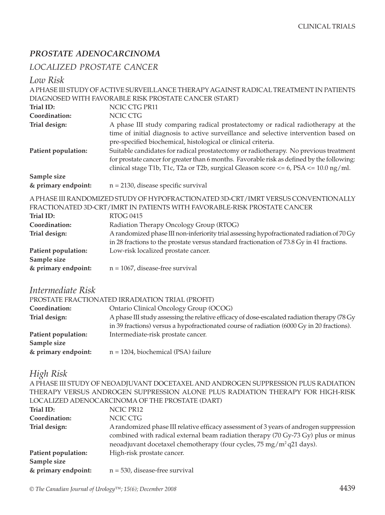## *PROSTATE ADENOCARCINOMA*

## *LOCALIZED PROSTATE CANCER*

*Low Risk*

|                                    | A PHASE III STUDY OF ACTIVE SURVEILLANCE THERAPY AGAINST RADICAL TREATMENT IN PATIENTS       |
|------------------------------------|----------------------------------------------------------------------------------------------|
|                                    | DIAGNOSED WITH FAVORABLE RISK PROSTATE CANCER (START)                                        |
| Trial ID:                          | NCIC CTG PR11                                                                                |
| Coordination:                      | <b>NCIC CTG</b>                                                                              |
| Trial design:                      | A phase III study comparing radical prostatectomy or radical radiotherapy at the             |
|                                    | time of initial diagnosis to active surveillance and selective intervention based on         |
|                                    | pre-specified biochemical, histological or clinical criteria.                                |
| Patient population:                | Suitable candidates for radical prostatectomy or radiotherapy. No previous treatment         |
|                                    | for prostate cancer for greater than 6 months. Favorable risk as defined by the following:   |
|                                    | clinical stage T1b, T1c, T2a or T2b, surgical Gleason score $<= 6$ , PSA $<= 10.0$ ng/ml.    |
| Sample size                        |                                                                                              |
| & primary endpoint:                | $n = 2130$ , disease specific survival                                                       |
|                                    | A PHASE III RANDOMIZED STUDY OF HYPOFRACTIONATED 3D-CRT/IMRT VERSUS CONVENTIONALLY           |
|                                    | FRACTIONATED 3D-CRT/IMRT IN PATIENTS WITH FAVORABLE-RISK PROSTATE CANCER                     |
| <b>Trial ID:</b>                   | <b>RTOG 0415</b>                                                                             |
| Coordination:                      | Radiation Therapy Oncology Group (RTOG)                                                      |
| Trial design:                      | A randomized phase III non-inferiority trial assessing hypofractionated radiation of 70 Gy   |
|                                    | in 28 fractions to the prostate versus standard fractionation of 73.8 Gy in 41 fractions.    |
| Patient population:                | Low-risk localized prostate cancer.                                                          |
| Sample size                        |                                                                                              |
| & primary endpoint:                | $n = 1067$ , disease-free survival                                                           |
|                                    |                                                                                              |
| Intermediate Risk                  |                                                                                              |
|                                    |                                                                                              |
|                                    | PROSTATE FRACTIONATED IRRADIATION TRIAL (PROFIT)                                             |
| Coordination:                      | Ontario Clinical Oncology Group (OCOG)                                                       |
| Trial design:                      | A phase III study assessing the relative efficacy of dose-escalated radiation therapy (78 Gy |
|                                    | in 39 fractions) versus a hypofractionated course of radiation (6000 Gy in 20 fractions).    |
| Patient population:                | Intermediate-risk prostate cancer.                                                           |
| Sample size                        |                                                                                              |
| & primary endpoint:                | $n = 1204$ , biochemical (PSA) failure                                                       |
|                                    |                                                                                              |
| High Risk                          |                                                                                              |
|                                    | A PHASE III STUDY OF NEOADJUVANT DOCETAXEL AND ANDROGEN SUPPRESSION PLUS RADIATION           |
|                                    | THERAPY VERSUS ANDROGEN SUPPRESSION ALONE PLUS RADIATION THERAPY FOR HIGH-RISK               |
|                                    | LOCALIZED ADENOCARCINOMA OF THE PROSTATE (DART)                                              |
| Trial ID:                          | NCIC PR12                                                                                    |
| Coordination:                      | NCIC CTG                                                                                     |
| Trial design:                      | A randomized phase III relative efficacy assessment of 3 years of androgen suppression       |
|                                    | combined with radical external beam radiation therapy (70 Gy-73 Gy) plus or minus            |
|                                    | neoadjuvant docetaxel chemotherapy (four cycles, 75 mg/m <sup>2</sup> q21 days).             |
| Patient population:                | High-risk prostate cancer.                                                                   |
| Sample size<br>& primary endpoint: | $n = 530$ , disease-free survival                                                            |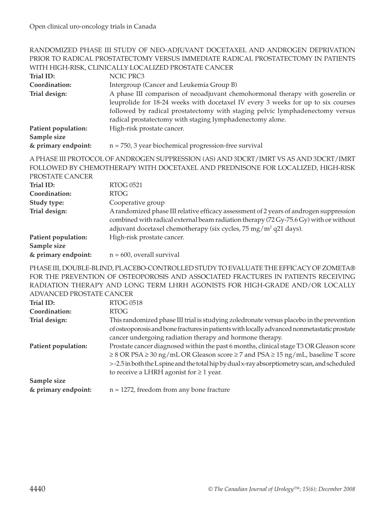#### RANDOMIZED PHASE III STUDY OF NEO-ADJUVANT DOCETAXEL AND ANDROGEN DEPRIVATION PRIOR TO RADICAL PROSTATECTOMY VERSUS IMMEDIATE RADICAL PROSTATECTOMY IN PATIENTS WITH HIGH-RISK, CLINICALLY LOCALIZED PROSTATE CANCER

| Trial ID:                          | NCIC PRC3                                                                                                                                                                                                                                                                                                      |
|------------------------------------|----------------------------------------------------------------------------------------------------------------------------------------------------------------------------------------------------------------------------------------------------------------------------------------------------------------|
| Coordination:                      | Intergroup (Cancer and Leukemia Group B)                                                                                                                                                                                                                                                                       |
| Trial design:                      | A phase III comparison of neoadjuvant chemohormonal therapy with goserelin or<br>leuprolide for 18-24 weeks with docetaxel IV every 3 weeks for up to six courses<br>followed by radical prostatectomy with staging pelvic lymphadenectomy versus<br>radical prostatectomy with staging lymphadenectomy alone. |
| Patient population:<br>Sample size | High-risk prostate cancer.                                                                                                                                                                                                                                                                                     |
| & primary endpoint:                | $n = 750$ , 3 year biochemical progression-free survival                                                                                                                                                                                                                                                       |
|                                    | A PHASE III PROTOCOL OF ANDROGEN SUPPRESSION (AS) AND 3DCRT/IMRT VS AS AND 3DCRT/IMRT                                                                                                                                                                                                                          |
|                                    | FOLLOWED BY CHEMOTHERAPY WITH DOCETAXEL AND PREDNISONE FOR LOCALIZED, HIGH-RISK                                                                                                                                                                                                                                |
| PROSTATE CANCER                    |                                                                                                                                                                                                                                                                                                                |
| Trial ID:                          | <b>RTOG 0521</b>                                                                                                                                                                                                                                                                                               |
| Coordination:                      | <b>RTOG</b>                                                                                                                                                                                                                                                                                                    |
| Study type:                        | Cooperative group                                                                                                                                                                                                                                                                                              |
| Trial design:                      | A randomized phase III relative efficacy assessment of 2 years of androgen suppression<br>combined with radical external beam radiation therapy (72 Gy-75.6 Gy) with or without<br>adjuvant docetaxel chemotherapy (six cycles, 75 mg/m <sup>2</sup> q21 days).                                                |
| Patient population:<br>Sample size | High-risk prostate cancer.                                                                                                                                                                                                                                                                                     |
| & primary endpoint:                | $n = 600$ , overall survival                                                                                                                                                                                                                                                                                   |
|                                    | PHASE III, DOUBLE-BLIND, PLACEBO-CONTROLLED STUDY TO EVALUATE THE EFFICACY OF ZOMETA®<br>FOR THE PREVENTION OF OSTEOPOROSIS AND ASSOCIATED FRACTURES IN PATIENTS RECEIVING                                                                                                                                     |
|                                    | RADIATION THERAPY AND LONG TERM LHRH AGONISTS FOR HIGH-GRADE AND/OR LOCALLY                                                                                                                                                                                                                                    |
| ADVANCED PROSTATE CANCER           |                                                                                                                                                                                                                                                                                                                |
| Trial ID:                          | <b>RTOG 0518</b>                                                                                                                                                                                                                                                                                               |
| Coordination:                      | <b>RTOG</b>                                                                                                                                                                                                                                                                                                    |
| Trial design:                      | This randomized phase III trial is studying zoledronate versus placebo in the prevention                                                                                                                                                                                                                       |
|                                    | of osteoporosis and bone fractures in patients with locally advanced nonmetastatic prostate<br>cancer undergoing radiation therapy and hormone therapy.                                                                                                                                                        |
| Patient population:                | Prostate cancer diagnosed within the past 6 months, clinical stage T3 OR Gleason score                                                                                                                                                                                                                         |

≥ 8 OR PSA ≥ 30 ng/mL OR Gleason score ≥ 7 and PSA ≥ 15 ng/mL, baseline T score > -2.5 in both the L spine and the total hip by dual x-ray absorptiometry scan, and scheduled to receive a LHRH agonist for  $\geq 1$  year. **Sample size** 

**& primary endpoint:** n = 1272, freedom from any bone fracture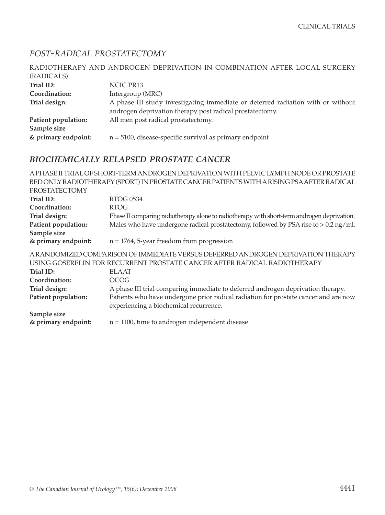#### *POST-RADICAL PROSTATECTOMY*

| RADIOTHERAPY AND ANDROGEN DEPRIVATION IN COMBINATION AFTER LOCAL SURGERY        |
|---------------------------------------------------------------------------------|
|                                                                                 |
| NCIC PR13                                                                       |
| Intergroup (MRC)                                                                |
| A phase III study investigating immediate or deferred radiation with or without |
| androgen deprivation therapy post radical prostatectomy.                        |
| All men post radical prostatectomy.                                             |
|                                                                                 |
| $n = 5100$ , disease-specific survival as primary endpoint                      |
|                                                                                 |

#### *BIOCHEMICALLY RELAPSED PROSTATE CANCER*

A PHASE II TRIAL OF SHORT-TERM ANDROGEN DEPRIVATION WITH PELVIC LYMPH NODE OR PROSTATE BED ONLY RADIOTHERAPY (SPORT) IN PROSTATE CANCER PATIENTS WITH A RISING PSA AFTER RADICAL PROSTATECTOMY **Trial ID:** RTOG 0534 **Coordination:** RTOG **Trial design:** Phase II comparing radiotherapy alone to radiotherapy with short-term androgen deprivation. **Patient population:** Males who have undergone radical prostatectomy, followed by PSA rise to > 0.2 ng/ml. **Sample size & primary endpoint:** n = 1764, 5-year freedom from progression A RANDOMIZED COMPARISON OF IMMEDIATE VERSUS DEFERRED ANDROGEN DEPRIVATION THERAPY USING GOSERELIN FOR RECURRENT PROSTATE CANCER AFTER RADICAL RADIOTHERAPY **Trial ID:** ELAAT **Coordination:** OCOG **Trial design:** A phase III trial comparing immediate to deferred androgen deprivation therapy. **Patient population:** Patients who have undergone prior radical radiation for prostate cancer and are now experiencing a biochemical recurrence. **Sample size & primary endpoint:** n = 1100, time to androgen independent disease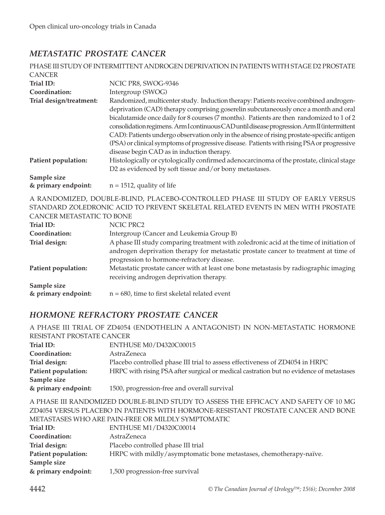### *METASTATIC PROSTATE CANCER*

|                                    | PHASE III STUDY OF INTERMITTENT ANDROGEN DEPRIVATION IN PATIENTS WITH STAGE D2 PROSTATE                                                                                                                                                                                                                                                                                                                                                                                                                                                                                                                            |
|------------------------------------|--------------------------------------------------------------------------------------------------------------------------------------------------------------------------------------------------------------------------------------------------------------------------------------------------------------------------------------------------------------------------------------------------------------------------------------------------------------------------------------------------------------------------------------------------------------------------------------------------------------------|
| <b>CANCER</b>                      |                                                                                                                                                                                                                                                                                                                                                                                                                                                                                                                                                                                                                    |
| Trial ID:                          | NCIC PR8, SWOG-9346                                                                                                                                                                                                                                                                                                                                                                                                                                                                                                                                                                                                |
| Coordination:                      | Intergroup (SWOG)                                                                                                                                                                                                                                                                                                                                                                                                                                                                                                                                                                                                  |
| Trial design/treatment:            | Randomized, multicenter study. Induction therapy: Patients receive combined androgen-<br>deprivation (CAD) therapy comprising goserelin subcutaneously once a month and oral<br>bicalutamide once daily for 8 courses (7 months). Patients are then randomized to 1 of 2<br>consolidation regimens. Arm I continuous CAD until disease progression. Arm II (intermittent<br>CAD): Patients undergo observation only in the absence of rising prostate-specific antigen<br>(PSA) or clinical symptoms of progressive disease. Patients with rising PSA or progressive<br>disease begin CAD as in induction therapy. |
| Patient population:                | Histologically or cytologically confirmed adenocarcinoma of the prostate, clinical stage<br>D2 as evidenced by soft tissue and/or bony metastases.                                                                                                                                                                                                                                                                                                                                                                                                                                                                 |
| Sample size<br>& primary endpoint: | $n = 1512$ , quality of life                                                                                                                                                                                                                                                                                                                                                                                                                                                                                                                                                                                       |

A RANDOMIZED, DOUBLE-BLIND, PLACEBO-CONTROLLED PHASE III STUDY OF EARLY VERSUS STANDARD ZOLEDRONIC ACID TO PREVENT SKELETAL RELATED EVENTS IN MEN WITH PROSTATE CANCER METASTATIC TO BONE

| $\sim$ - $\sim$ - $\sim$ - $\sim$ - $\sim$ - $\sim$ - $\sim$ |                                                                                         |
|--------------------------------------------------------------|-----------------------------------------------------------------------------------------|
| Trial ID:                                                    | NCIC PRC2                                                                               |
| Coordination:                                                | Intergroup (Cancer and Leukemia Group B)                                                |
| Trial design:                                                | A phase III study comparing treatment with zoledronic acid at the time of initiation of |
|                                                              | androgen deprivation therapy for metastatic prostate cancer to treatment at time of     |
|                                                              | progression to hormone-refractory disease.                                              |
| Patient population:                                          | Metastatic prostate cancer with at least one bone metastasis by radiographic imaging    |
|                                                              | receiving androgen deprivation therapy.                                                 |
| Sample size                                                  |                                                                                         |
| & primary endpoint:                                          | $n = 680$ , time to first skeletal related event                                        |

#### *HORMONE REFRACTORY PROSTATE CANCER*

|                                                                                                                                                                                                 | A PHASE III TRIAL OF ZD4054 (ENDOTHELIN A ANTAGONIST) IN NON-METASTATIC HORMONE         |
|-------------------------------------------------------------------------------------------------------------------------------------------------------------------------------------------------|-----------------------------------------------------------------------------------------|
| RESISTANT PROSTATE CANCER                                                                                                                                                                       |                                                                                         |
| Trial ID:                                                                                                                                                                                       | ENTHUSE M0/D4320C00015                                                                  |
| Coordination:                                                                                                                                                                                   | AstraZeneca                                                                             |
| Trial design:                                                                                                                                                                                   | Placebo controlled phase III trial to assess effectiveness of ZD4054 in HRPC            |
| Patient population:                                                                                                                                                                             | HRPC with rising PSA after surgical or medical castration but no evidence of metastases |
| Sample size                                                                                                                                                                                     |                                                                                         |
| & primary endpoint:                                                                                                                                                                             | 1500, progression-free and overall survival                                             |
| A PHASE III RANDOMIZED DOUBLE-BLIND STUDY TO ASSESS THE EFFICACY AND SAFETY OF 10 MG<br><u>ED 105 LIEDOUG DI LOEDO ILI DIEIBLIEG UJEU ILODI (OLIE DEGIOELLIE DDOGE UEL O LIJOED LIJED DOLIE</u> |                                                                                         |

ZD4054 VERSUS PLACEBO IN PATIENTS WITH HORMONE-RESISTANT PROSTATE CANCER AND BONE METASTASES WHO ARE PAIN-FREE OR MILDLY SYMPTOMATIC

| Trial ID:           | <b>ENTHUSE M1/D4320C00014</b>                                      |
|---------------------|--------------------------------------------------------------------|
| Coordination:       | <b>AstraZeneca</b>                                                 |
| Trial design:       | Placebo controlled phase III trial                                 |
| Patient population: | HRPC with mildly/asymptomatic bone metastases, chemotherapy-naïve. |
| Sample size         |                                                                    |
| & primary endpoint: | 1,500 progression-free survival                                    |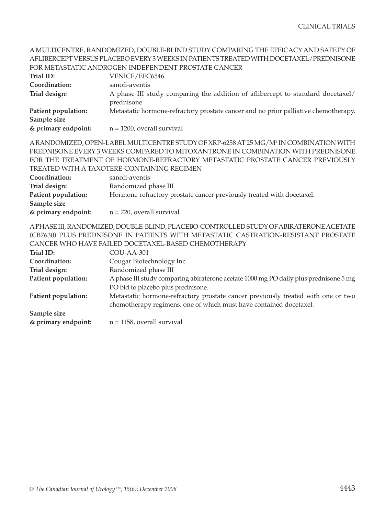|                     | AFLIBERCEPT VERSUS PLACEBO EVERY 3 WEEKS IN PATIENTS TREATED WITH DOCETAXEL/PREDNISONE                                                                 |
|---------------------|--------------------------------------------------------------------------------------------------------------------------------------------------------|
|                     | FOR METASTATIC ANDROGEN INDEPENDENT PROSTATE CANCER                                                                                                    |
| Trial ID:           | VENICE/EFC6546                                                                                                                                         |
| Coordination:       | sanofi-aventis                                                                                                                                         |
| Trial design:       | A phase III study comparing the addition of aflibercept to standard docetaxel/<br>prednisone.                                                          |
| Patient population: | Metastatic hormone-refractory prostate cancer and no prior palliative chemotherapy.                                                                    |
| Sample size         |                                                                                                                                                        |
| & primary endpoint: | $n = 1200$ , overall survival                                                                                                                          |
|                     | A RANDOMIZED, OPEN-LABEL MULTICENTRE STUDY OF XRP-6258 AT 25 MG/M <sup>2</sup> IN COMBINATION WITH                                                     |
|                     | PREDNISONE EVERY 3 WEEKS COMPARED TO MITOXANTRONE IN COMBINATION WITH PREDNISONE                                                                       |
|                     | FOR THE TREATMENT OF HORMONE-REFRACTORY METASTATIC PROSTATE CANCER PREVIOUSLY                                                                          |
|                     | TREATED WITH A TAXOTERE-CONTAINING REGIMEN                                                                                                             |
| Coordination:       | sanofi-aventis                                                                                                                                         |
| Trial design:       | Randomized phase III                                                                                                                                   |
| Patient population: | Hormone-refractory prostate cancer previously treated with docetaxel.                                                                                  |
| Sample size         |                                                                                                                                                        |
| & primary endpoint: | $n = 720$ , overall survival                                                                                                                           |
|                     | A PHASE III, RANDOMIZED, DOUBLE-BLIND, PLACEBO-CONTROLLED STUDY OF ABIRATERONE ACETATE                                                                 |
|                     | (CB7630) PLUS PREDNISONE IN PATIENTS WITH METASTATIC CASTRATION-RESISTANT PROSTATE                                                                     |
|                     | CANCER WHO HAVE FAILED DOCETAXEL-BASED CHEMOTHERAPY                                                                                                    |
| Trial ID:           | COU-AA-301                                                                                                                                             |
| Coordination:       | Cougar Biotechnology Inc.                                                                                                                              |
| Trial design:       | Randomized phase III                                                                                                                                   |
| Patient population: | A phase III study comparing abiraterone acetate 1000 mg PO daily plus prednisone 5 mg                                                                  |
|                     | PO bid to placebo plus prednisone.                                                                                                                     |
| Patient population: | Metastatic hormone-refractory prostate cancer previously treated with one or two<br>chemotherapy regimens, one of which must have contained docetaxel. |
| Sample size         |                                                                                                                                                        |

A MULTICENTRE, RANDOMIZED, DOUBLE-BLIND STUDY COMPARING THE EFFICACY AND SAFETY OF

**& primary endpoint:** n = 1158, overall survival